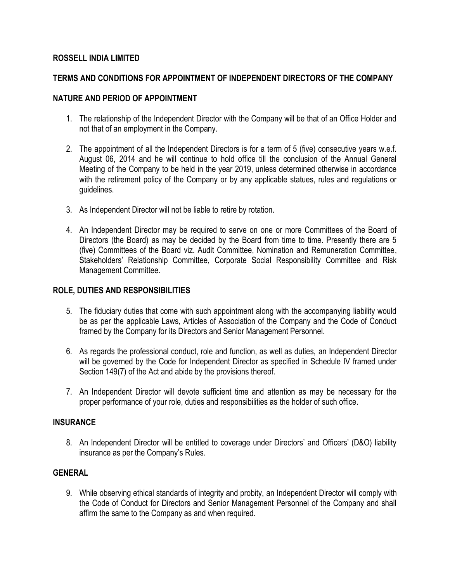### **ROSSELL INDIA LIMITED**

# **TERMS AND CONDITIONS FOR APPOINTMENT OF INDEPENDENT DIRECTORS OF THE COMPANY**

### **NATURE AND PERIOD OF APPOINTMENT**

- 1. The relationship of the Independent Director with the Company will be that of an Office Holder and not that of an employment in the Company.
- 2. The appointment of all the Independent Directors is for a term of 5 (five) consecutive years w.e.f. August 06, 2014 and he will continue to hold office till the conclusion of the Annual General Meeting of the Company to be held in the year 2019, unless determined otherwise in accordance with the retirement policy of the Company or by any applicable statues, rules and regulations or guidelines.
- 3. As Independent Director will not be liable to retire by rotation.
- 4. An Independent Director may be required to serve on one or more Committees of the Board of Directors (the Board) as may be decided by the Board from time to time. Presently there are 5 (five) Committees of the Board viz. Audit Committee, Nomination and Remuneration Committee, Stakeholders' Relationship Committee, Corporate Social Responsibility Committee and Risk Management Committee.

### **ROLE, DUTIES AND RESPONSIBILITIES**

- 5. The fiduciary duties that come with such appointment along with the accompanying liability would be as per the applicable Laws, Articles of Association of the Company and the Code of Conduct framed by the Company for its Directors and Senior Management Personnel.
- 6. As regards the professional conduct, role and function, as well as duties, an Independent Director will be governed by the Code for Independent Director as specified in Schedule IV framed under Section 149(7) of the Act and abide by the provisions thereof.
- 7. An Independent Director will devote sufficient time and attention as may be necessary for the proper performance of your role, duties and responsibilities as the holder of such office.

#### **INSURANCE**

8. An Independent Director will be entitled to coverage under Directors' and Officers' (D&O) liability insurance as per the Company's Rules.

# **GENERAL**

9. While observing ethical standards of integrity and probity, an Independent Director will comply with the Code of Conduct for Directors and Senior Management Personnel of the Company and shall affirm the same to the Company as and when required.